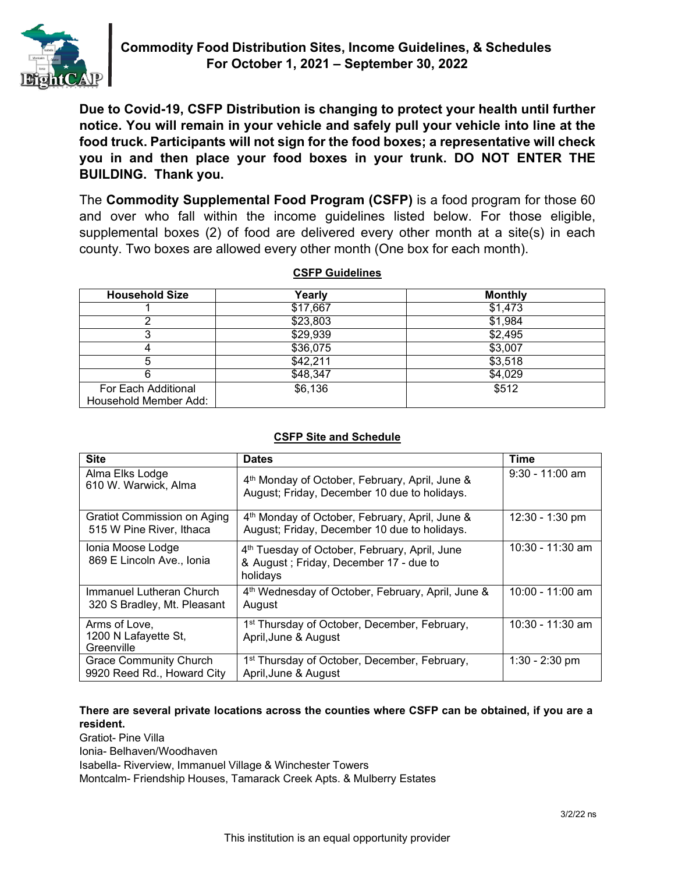

**Due to Covid-19, CSFP Distribution is changing to protect your health until further notice. You will remain in your vehicle and safely pull your vehicle into line at the food truck. Participants will not sign for the food boxes; a representative will check you in and then place your food boxes in your trunk. DO NOT ENTER THE BUILDING. Thank you.**

The **Commodity Supplemental Food Program (CSFP)** is a food program for those 60 and over who fall within the income guidelines listed below. For those eligible, supplemental boxes (2) of food are delivered every other month at a site(s) in each county. Two boxes are allowed every other month (One box for each month).

| <b>CSFP Guidelines</b> |
|------------------------|
|                        |

| <b>Household Size</b> | Yearly   | <b>Monthly</b> |
|-----------------------|----------|----------------|
|                       | \$17,667 | \$1,473        |
|                       | \$23,803 | \$1,984        |
|                       | \$29,939 | \$2,495        |
|                       | \$36,075 | \$3,007        |
|                       | \$42,211 | \$3,518        |
|                       | \$48,347 | \$4,029        |
| For Each Additional   | \$6,136  | \$512          |
| Household Member Add: |          |                |

## **CSFP Site and Schedule**

| <b>Site</b>                                                 | <b>Dates</b>                                                                                                    | Time              |
|-------------------------------------------------------------|-----------------------------------------------------------------------------------------------------------------|-------------------|
| Alma Elks Lodge<br>610 W. Warwick, Alma                     | 4th Monday of October, February, April, June &<br>August; Friday, December 10 due to holidays.                  | $9:30 - 11:00$ am |
| Gratiot Commission on Aging<br>515 W Pine River, Ithaca     | 4th Monday of October, February, April, June &<br>August; Friday, December 10 due to holidays.                  | 12:30 - 1:30 pm   |
| Ionia Moose Lodge<br>869 E Lincoln Ave., Ionia              | 4 <sup>th</sup> Tuesday of October, February, April, June<br>& August; Friday, December 17 - due to<br>holidays | 10:30 - 11:30 am  |
| Immanuel Lutheran Church<br>320 S Bradley, Mt. Pleasant     | 4 <sup>th</sup> Wednesday of October, February, April, June &<br>August                                         | 10:00 - 11:00 am  |
| Arms of Love,<br>1200 N Lafayette St,<br>Greenville         | 1 <sup>st</sup> Thursday of October, December, February,<br>April, June & August                                | 10:30 - 11:30 am  |
| <b>Grace Community Church</b><br>9920 Reed Rd., Howard City | 1 <sup>st</sup> Thursday of October, December, February,<br>April, June & August                                | $1:30 - 2:30$ pm  |

#### **There are several private locations across the counties where CSFP can be obtained, if you are a resident.**

Gratiot- Pine Villa

Ionia- Belhaven/Woodhaven

Isabella- Riverview, Immanuel Village & Winchester Towers

Montcalm- Friendship Houses, Tamarack Creek Apts. & Mulberry Estates